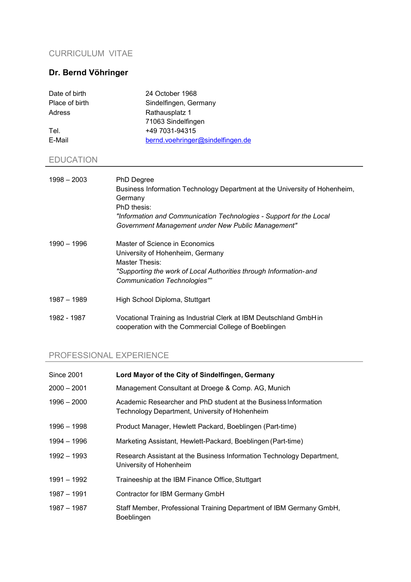#### CURRICULUM VITAE

# Dr. Bernd Vöhringer

| 24 October 1968                  |
|----------------------------------|
| Sindelfingen, Germany            |
| Rathausplatz 1                   |
| 71063 Sindelfingen               |
| +49 7031-94315                   |
| bernd.voehringer@sindelfingen.de |
|                                  |
|                                  |

# EDUCATION

| $1998 - 2003$ | <b>PhD Degree</b><br>Business Information Technology Department at the University of Hohenheim,<br>Germany<br>PhD thesis:<br>"Information and Communication Technologies - Support for the Local<br>Government Management under New Public Management" |
|---------------|--------------------------------------------------------------------------------------------------------------------------------------------------------------------------------------------------------------------------------------------------------|
| 1990 - 1996   | Master of Science in Economics<br>University of Hohenheim, Germany<br>Master Thesis:<br>"Supporting the work of Local Authorities through Information-and<br>Communication Technologies""                                                              |
| 1987 - 1989   | High School Diploma, Stuttgart                                                                                                                                                                                                                         |
| 1982 - 1987   | Vocational Training as Industrial Clerk at IBM Deutschland GmbH in<br>cooperation with the Commercial College of Boeblingen                                                                                                                            |

# PROFESSIONAL EXPERIENCE

| Since 2001    | Lord Mayor of the City of Sindelfingen, Germany                                                                   |
|---------------|-------------------------------------------------------------------------------------------------------------------|
| 2000 - 2001   | Management Consultant at Droege & Comp. AG, Munich                                                                |
| $1996 - 2000$ | Academic Researcher and PhD student at the Business Information<br>Technology Department, University of Hohenheim |
| 1996 - 1998   | Product Manager, Hewlett Packard, Boeblingen (Part-time)                                                          |
| 1994 – 1996   | Marketing Assistant, Hewlett-Packard, Boeblingen (Part-time)                                                      |
| 1992 - 1993   | Research Assistant at the Business Information Technology Department,<br>University of Hohenheim                  |
| 1991 – 1992   | Traineeship at the IBM Finance Office, Stuttgart                                                                  |
| 1987 - 1991   | Contractor for IBM Germany GmbH                                                                                   |
| 1987 - 1987   | Staff Member, Professional Training Department of IBM Germany GmbH,<br>Boeblingen                                 |